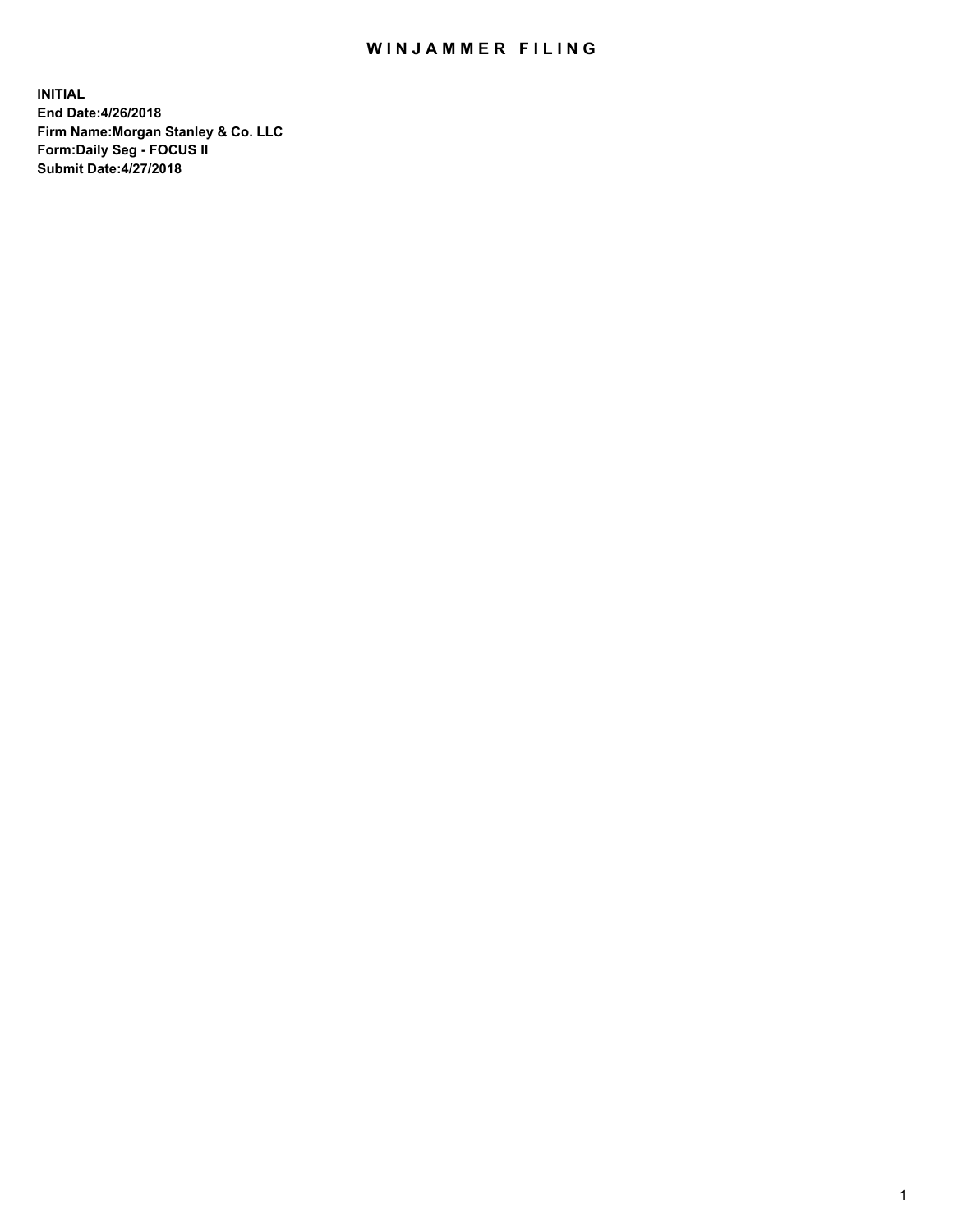## WIN JAMMER FILING

**INITIAL End Date:4/26/2018 Firm Name:Morgan Stanley & Co. LLC Form:Daily Seg - FOCUS II Submit Date:4/27/2018**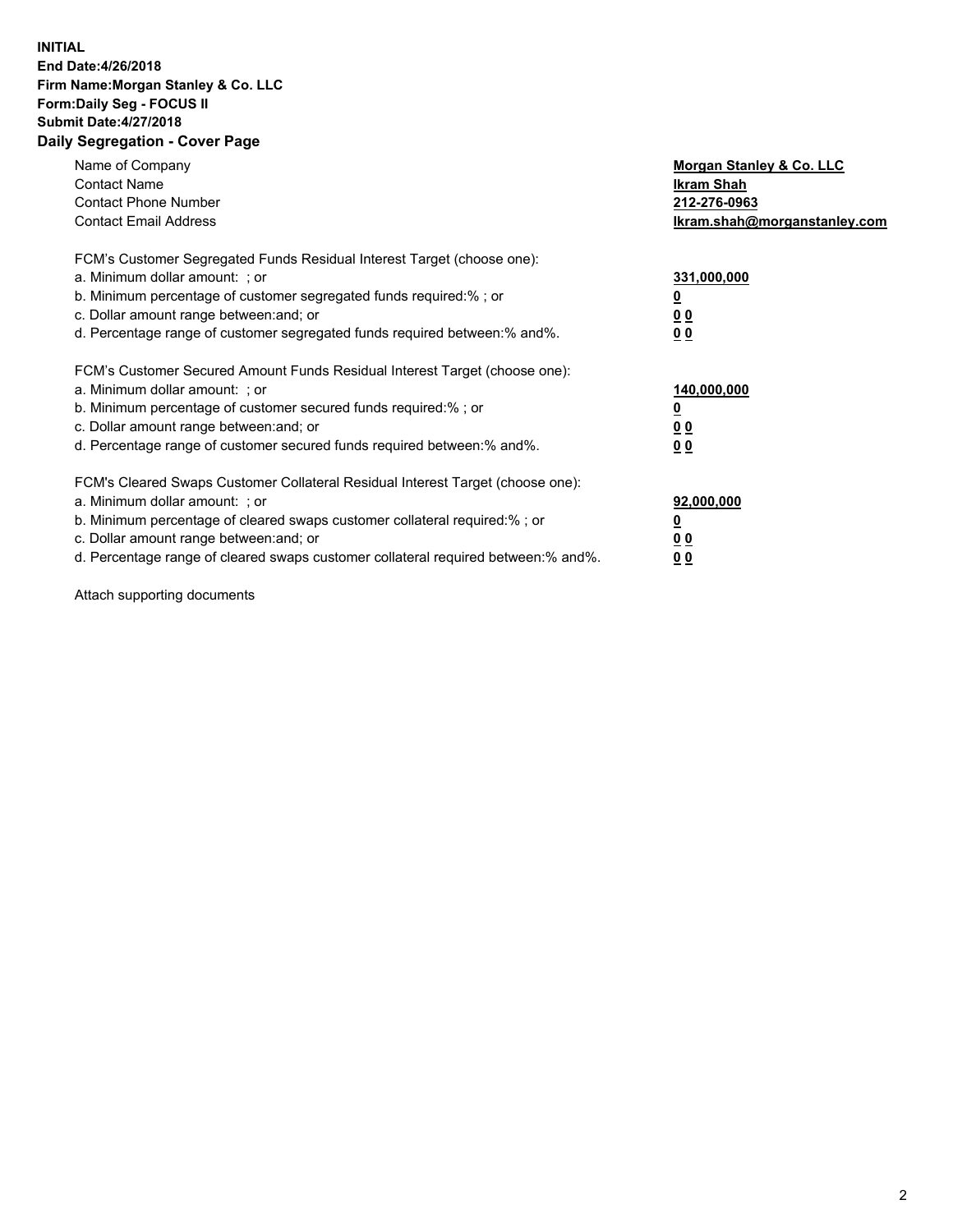### **INITIAL End Date:4/26/2018 Firm Name:Morgan Stanley & Co. LLC Form:Daily Seg - FOCUS II Submit Date:4/27/2018 Daily Segregation - Cover Page**

| Name of Company<br><b>Contact Name</b><br><b>Contact Phone Number</b><br><b>Contact Email Address</b>                                                                                                                                                                                                                         | Morgan Stanley & Co. LLC<br>Ikram Shah<br>212-276-0963<br>lkram.shah@morganstanley.com |
|-------------------------------------------------------------------------------------------------------------------------------------------------------------------------------------------------------------------------------------------------------------------------------------------------------------------------------|----------------------------------------------------------------------------------------|
| FCM's Customer Segregated Funds Residual Interest Target (choose one):<br>a. Minimum dollar amount: ; or<br>b. Minimum percentage of customer segregated funds required:%; or<br>c. Dollar amount range between: and; or<br>d. Percentage range of customer segregated funds required between:% and%.                         | 331,000,000<br>0 <sub>0</sub><br>00                                                    |
| FCM's Customer Secured Amount Funds Residual Interest Target (choose one):<br>a. Minimum dollar amount: ; or<br>b. Minimum percentage of customer secured funds required:%; or<br>c. Dollar amount range between: and; or<br>d. Percentage range of customer secured funds required between:% and%.                           | 140,000,000<br>0 <sub>0</sub><br>0 <sub>0</sub>                                        |
| FCM's Cleared Swaps Customer Collateral Residual Interest Target (choose one):<br>a. Minimum dollar amount: ; or<br>b. Minimum percentage of cleared swaps customer collateral required:%; or<br>c. Dollar amount range between: and; or<br>d. Percentage range of cleared swaps customer collateral required between:% and%. | 92,000,000<br>0 <sub>0</sub><br><u>00</u>                                              |

Attach supporting documents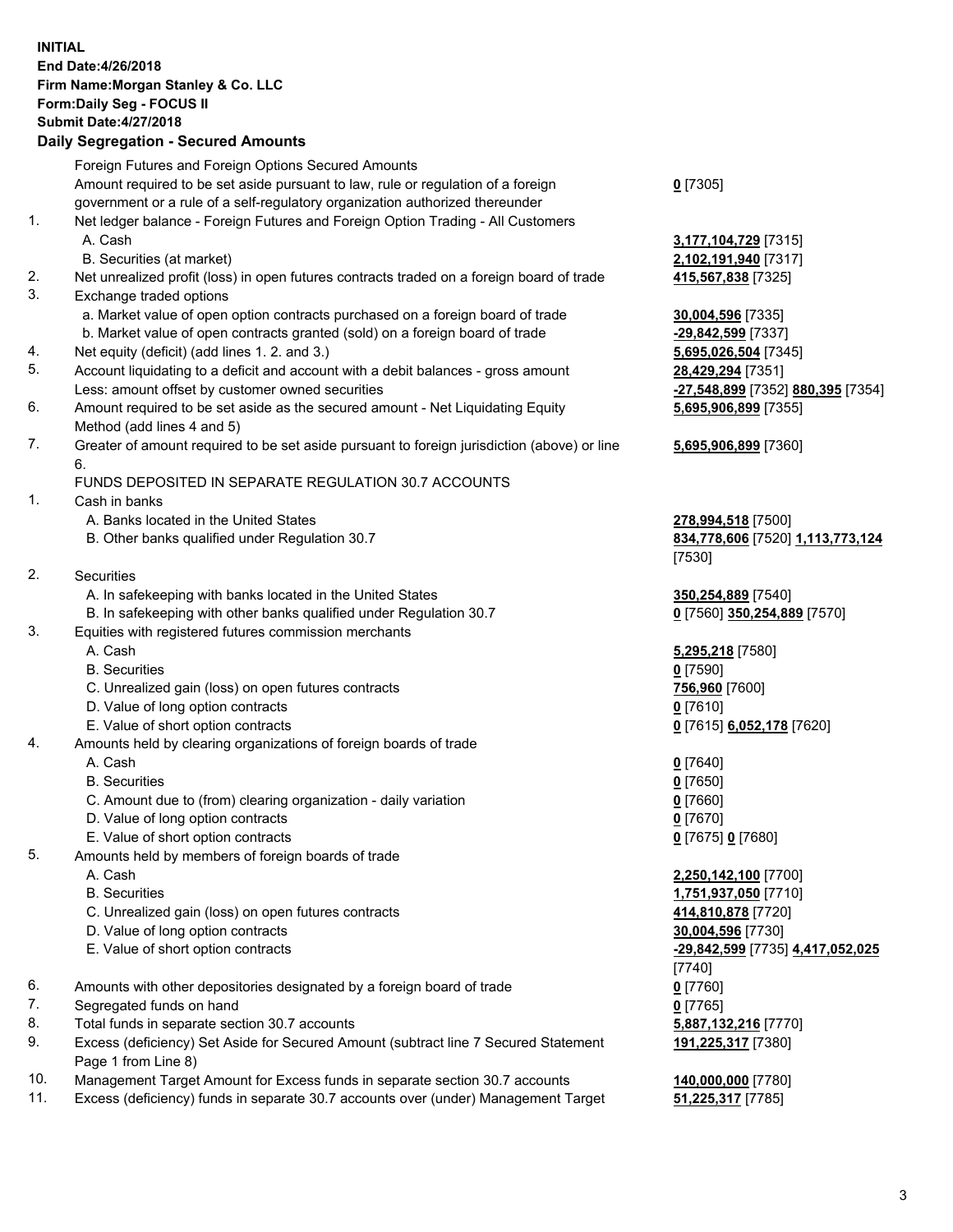# **INITIAL End Date:4/26/2018 Firm Name:Morgan Stanley & Co. LLC Form:Daily Seg - FOCUS II Submit Date:4/27/2018**

## **Daily Segregation - Secured Amounts**

|    | Foreign Futures and Foreign Options Secured Amounts                                         |                                   |
|----|---------------------------------------------------------------------------------------------|-----------------------------------|
|    | Amount required to be set aside pursuant to law, rule or regulation of a foreign            | $0$ [7305]                        |
|    | government or a rule of a self-regulatory organization authorized thereunder                |                                   |
| 1. | Net ledger balance - Foreign Futures and Foreign Option Trading - All Customers             |                                   |
|    | A. Cash                                                                                     | 3,177,104,729 [7315]              |
|    | B. Securities (at market)                                                                   | 2,102,191,940 [7317]              |
| 2. | Net unrealized profit (loss) in open futures contracts traded on a foreign board of trade   | 415,567,838 [7325]                |
| 3. | Exchange traded options                                                                     |                                   |
|    | a. Market value of open option contracts purchased on a foreign board of trade              | 30,004,596 [7335]                 |
|    | b. Market value of open contracts granted (sold) on a foreign board of trade                | -29,842,599 [7337]                |
| 4. | Net equity (deficit) (add lines 1.2. and 3.)                                                | 5,695,026,504 [7345]              |
| 5. | Account liquidating to a deficit and account with a debit balances - gross amount           | 28,429,294 [7351]                 |
|    | Less: amount offset by customer owned securities                                            | -27,548,899 [7352] 880,395 [7354] |
| 6. | Amount required to be set aside as the secured amount - Net Liquidating Equity              | 5,695,906,899 [7355]              |
|    | Method (add lines 4 and 5)                                                                  |                                   |
| 7. | Greater of amount required to be set aside pursuant to foreign jurisdiction (above) or line | 5,695,906,899 [7360]              |
|    | 6.                                                                                          |                                   |
|    | FUNDS DEPOSITED IN SEPARATE REGULATION 30.7 ACCOUNTS                                        |                                   |
| 1. | Cash in banks                                                                               |                                   |
|    | A. Banks located in the United States                                                       | 278,994,518 [7500]                |
|    | B. Other banks qualified under Regulation 30.7                                              | 834,778,606 [7520] 1,113,773,124  |
|    |                                                                                             | [7530]                            |
| 2. | <b>Securities</b>                                                                           |                                   |
|    | A. In safekeeping with banks located in the United States                                   | 350,254,889 [7540]                |
|    | B. In safekeeping with other banks qualified under Regulation 30.7                          | 0 [7560] 350,254,889 [7570]       |
| 3. | Equities with registered futures commission merchants                                       |                                   |
|    | A. Cash                                                                                     | 5,295,218 [7580]                  |
|    | <b>B.</b> Securities                                                                        | $0$ [7590]                        |
|    | C. Unrealized gain (loss) on open futures contracts                                         | 756,960 [7600]                    |
|    | D. Value of long option contracts                                                           | $0$ [7610]                        |
|    | E. Value of short option contracts                                                          | 0 [7615] 6,052,178 [7620]         |
| 4. | Amounts held by clearing organizations of foreign boards of trade                           |                                   |
|    | A. Cash                                                                                     | $0$ [7640]                        |
|    | <b>B.</b> Securities                                                                        | $0$ [7650]                        |
|    | C. Amount due to (from) clearing organization - daily variation                             | $0$ [7660]                        |
|    | D. Value of long option contracts                                                           | $0$ [7670]                        |
|    | E. Value of short option contracts                                                          | 0 [7675] 0 [7680]                 |
| 5. | Amounts held by members of foreign boards of trade                                          |                                   |
|    | A. Cash                                                                                     | 2,250,142,100 [7700]              |
|    | <b>B.</b> Securities                                                                        | 1,751,937,050 [7710]              |
|    | C. Unrealized gain (loss) on open futures contracts                                         | 414,810,878 [7720]                |
|    | D. Value of long option contracts                                                           | 30,004,596 [7730]                 |
|    | E. Value of short option contracts                                                          | -29,842,599 [7735] 4,417,052,025  |
|    |                                                                                             | [7740]                            |
| 6. | Amounts with other depositories designated by a foreign board of trade                      | $0$ [7760]                        |
| 7. | Segregated funds on hand                                                                    | $0$ [7765]                        |
| 8. | Total funds in separate section 30.7 accounts                                               | 5,887,132,216 [7770]              |
| 9. | Excess (deficiency) Set Aside for Secured Amount (subtract line 7 Secured Statement         | 191,225,317 [7380]                |
|    | Page 1 from Line 8)                                                                         |                                   |

- 10. Management Target Amount for Excess funds in separate section 30.7 accounts **140,000,000** [7780]
- 11. Excess (deficiency) funds in separate 30.7 accounts over (under) Management Target **51,225,317** [7785]

### **5,695,906,899** [7360]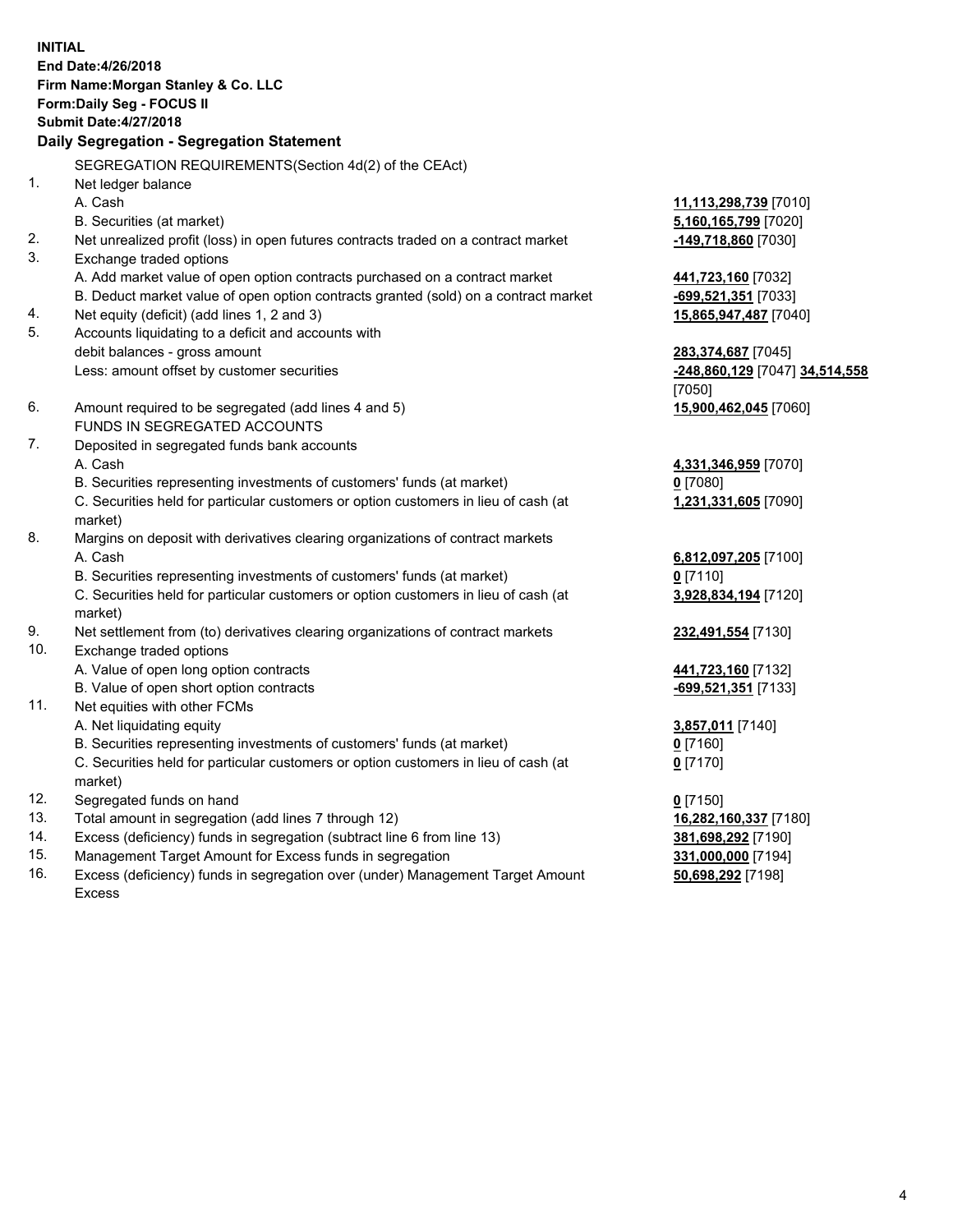**INITIAL End Date:4/26/2018 Firm Name:Morgan Stanley & Co. LLC Form:Daily Seg - FOCUS II Submit Date:4/27/2018 Daily Segregation - Segregation Statement** SEGREGATION REQUIREMENTS(Section 4d(2) of the CEAct) 1. Net ledger balance A. Cash **11,113,298,739** [7010] B. Securities (at market) **5,160,165,799** [7020] 2. Net unrealized profit (loss) in open futures contracts traded on a contract market **-149,718,860** [7030] 3. Exchange traded options A. Add market value of open option contracts purchased on a contract market **441,723,160** [7032] B. Deduct market value of open option contracts granted (sold) on a contract market **-699,521,351** [7033] 4. Net equity (deficit) (add lines 1, 2 and 3) **15,865,947,487** [7040] 5. Accounts liquidating to a deficit and accounts with debit balances - gross amount **283,374,687** [7045] Less: amount offset by customer securities **-248,860,129** [7047] **34,514,558** [7050] 6. Amount required to be segregated (add lines 4 and 5) **15,900,462,045** [7060] FUNDS IN SEGREGATED ACCOUNTS 7. Deposited in segregated funds bank accounts A. Cash **4,331,346,959** [7070] B. Securities representing investments of customers' funds (at market) **0** [7080] C. Securities held for particular customers or option customers in lieu of cash (at market) **1,231,331,605** [7090] 8. Margins on deposit with derivatives clearing organizations of contract markets A. Cash **6,812,097,205** [7100] B. Securities representing investments of customers' funds (at market) **0** [7110] C. Securities held for particular customers or option customers in lieu of cash (at market) **3,928,834,194** [7120] 9. Net settlement from (to) derivatives clearing organizations of contract markets **232,491,554** [7130] 10. Exchange traded options A. Value of open long option contracts **441,723,160** [7132] B. Value of open short option contracts **and the set of open short option contracts -699,521,351** [7133] 11. Net equities with other FCMs A. Net liquidating equity **3,857,011** [7140] B. Securities representing investments of customers' funds (at market) **0** [7160] C. Securities held for particular customers or option customers in lieu of cash (at market) **0** [7170] 12. Segregated funds on hand **0** [7150] 13. Total amount in segregation (add lines 7 through 12) **16,282,160,337** [7180] 14. Excess (deficiency) funds in segregation (subtract line 6 from line 13) **381,698,292** [7190] 15. Management Target Amount for Excess funds in segregation **331,000,000** [7194]

16. Excess (deficiency) funds in segregation over (under) Management Target Amount Excess

**50,698,292** [7198]